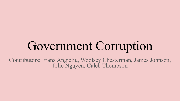# Government Corruption

Contributors: Franz Angjeliu, Woolsey Chesterman, James Johnson, Jolie Nguyen, Caleb Thompson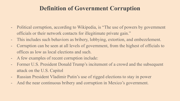### **Definition of Government Corruption**

- Political corruption, according to Wikipedia, is "The use of powers by government officials or their network contacts for illegitimate private gain."
- This includes such behaviors as bribery, lobbying, extortion, and embezzlement.
- Corruption can be seen at all levels of government, from the highest of officials to offices as low as local elections and such.
- A few examples of recent corruption include:
- Former U.S. President Donald Trump's incitement of a crowd and the subsequent attack on the U.S. Capitol
- Russian President Vladimir Putin's use of rigged elections to stay in power
- And the near continuous bribery and corruption in Mexico's government.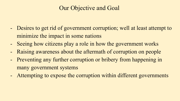### Our Objective and Goal

- Desires to get rid of government corruption; well at least attempt to minimize the impact in some nations
- Seeing how citizens play a role in how the government works
- Raising awareness about the aftermath of corruption on people
- Preventing any further corruption or bribery from happening in many government systems
- Attempting to expose the corruption within different governments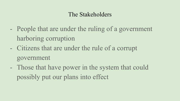### The Stakeholders

- People that are under the ruling of a government harboring corruption
- Citizens that are under the rule of a corrupt government
- Those that have power in the system that could possibly put our plans into effect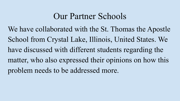# Our Partner Schools

We have collaborated with the St. Thomas the Apostle School from Crystal Lake, Illinois, United States. We have discussed with different students regarding the matter, who also expressed their opinions on how this problem needs to be addressed more.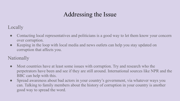## Addressing the Issue

#### Locally

- Contacting local representatives and politicians is a good way to let them know your concern over corruption.
- Keeping in the loop with local media and news outlets can help you stay updated on corruption that affects you.

### Nationally

- Most countries have at least some issues with corruption. Try and research who the perpetrators have been and see if they are still around. International sources like NPR and the BBC can help with this.
- Spread awareness about bad actors in your country's government, via whatever ways you can. Talking to family members about the history of corruption in your country is another good way to spread the word.